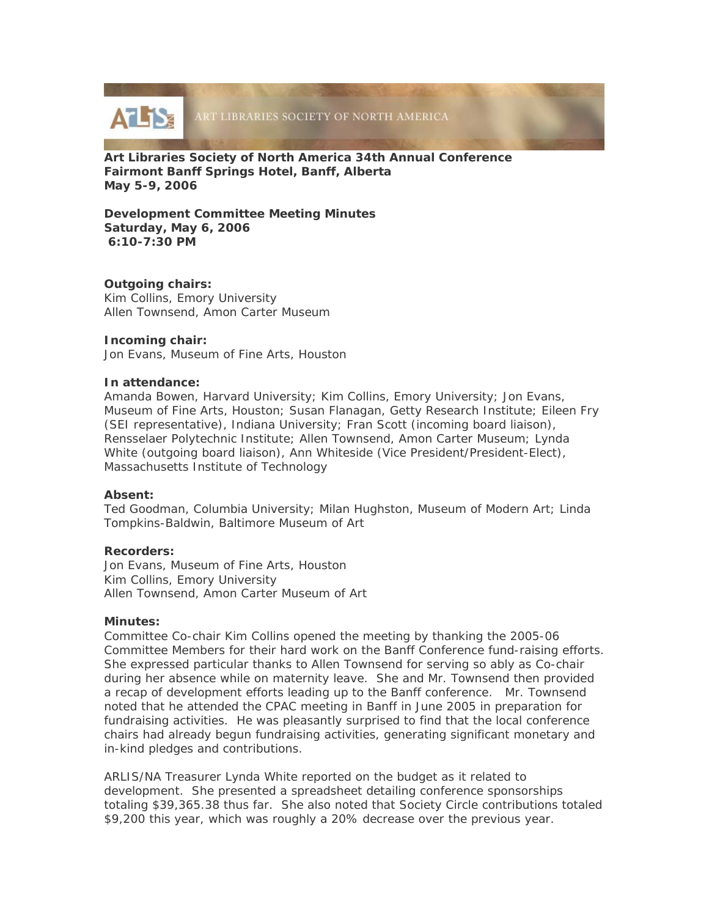

**Art Libraries Society of North America 34th Annual Conference Fairmont Banff Springs Hotel, Banff, Alberta May 5-9, 2006** 

**Development Committee Meeting Minutes Saturday, May 6, 2006 6:10-7:30 PM** 

# **Outgoing chairs:**

Kim Collins, Emory University Allen Townsend, Amon Carter Museum

# **Incoming chair:**

Jon Evans, Museum of Fine Arts, Houston

# **In attendance:**

Amanda Bowen, Harvard University; Kim Collins, Emory University; Jon Evans, Museum of Fine Arts, Houston; Susan Flanagan, Getty Research Institute; Eileen Fry (SEI representative), Indiana University; Fran Scott (incoming board liaison), Rensselaer Polytechnic Institute; Allen Townsend, Amon Carter Museum; Lynda White (outgoing board liaison), Ann Whiteside (Vice President/President-Elect), Massachusetts Institute of Technology

# **Absent:**

Ted Goodman, Columbia University; Milan Hughston, Museum of Modern Art; Linda Tompkins-Baldwin, Baltimore Museum of Art

# **Recorders:**

Jon Evans, Museum of Fine Arts, Houston Kim Collins, Emory University Allen Townsend, Amon Carter Museum of Art

# **Minutes:**

Committee Co-chair Kim Collins opened the meeting by thanking the 2005-06 Committee Members for their hard work on the Banff Conference fund-raising efforts. She expressed particular thanks to Allen Townsend for serving so ably as Co-chair during her absence while on maternity leave. She and Mr. Townsend then provided a recap of development efforts leading up to the Banff conference. Mr. Townsend noted that he attended the CPAC meeting in Banff in June 2005 in preparation for fundraising activities. He was pleasantly surprised to find that the local conference chairs had already begun fundraising activities, generating significant monetary and in-kind pledges and contributions.

ARLIS/NA Treasurer Lynda White reported on the budget as it related to development. She presented a spreadsheet detailing conference sponsorships totaling \$39,365.38 thus far. She also noted that Society Circle contributions totaled \$9,200 this year, which was roughly a 20% decrease over the previous year.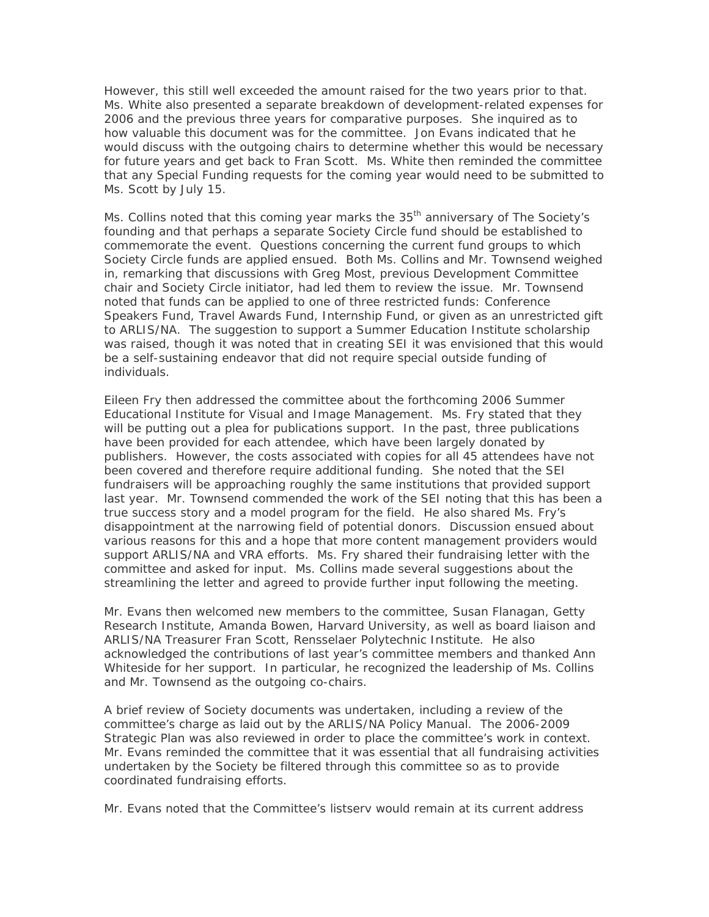However, this still well exceeded the amount raised for the two years prior to that. Ms. White also presented a separate breakdown of development-related expenses for 2006 and the previous three years for comparative purposes. She inquired as to how valuable this document was for the committee. Jon Evans indicated that he would discuss with the outgoing chairs to determine whether this would be necessary for future years and get back to Fran Scott. Ms. White then reminded the committee that any Special Funding requests for the coming year would need to be submitted to Ms. Scott by July 15.

Ms. Collins noted that this coming year marks the 35<sup>th</sup> anniversary of The Society's founding and that perhaps a separate Society Circle fund should be established to commemorate the event. Questions concerning the current fund groups to which Society Circle funds are applied ensued. Both Ms. Collins and Mr. Townsend weighed in, remarking that discussions with Greg Most, previous Development Committee chair and Society Circle initiator, had led them to review the issue. Mr. Townsend noted that funds can be applied to one of three restricted funds: Conference Speakers Fund, Travel Awards Fund, Internship Fund, or given as an unrestricted gift to ARLIS/NA. The suggestion to support a Summer Education Institute scholarship was raised, though it was noted that in creating SEI it was envisioned that this would be a self-sustaining endeavor that did not require special outside funding of individuals.

Eileen Fry then addressed the committee about the forthcoming 2006 Summer Educational Institute for Visual and Image Management. Ms. Fry stated that they will be putting out a plea for publications support. In the past, three publications have been provided for each attendee, which have been largely donated by publishers. However, the costs associated with copies for all 45 attendees have not been covered and therefore require additional funding. She noted that the SEI fundraisers will be approaching roughly the same institutions that provided support last year. Mr. Townsend commended the work of the SEI noting that this has been a true success story and a model program for the field. He also shared Ms. Fry's disappointment at the narrowing field of potential donors. Discussion ensued about various reasons for this and a hope that more content management providers would support ARLIS/NA and VRA efforts. Ms. Fry shared their fundraising letter with the committee and asked for input. Ms. Collins made several suggestions about the streamlining the letter and agreed to provide further input following the meeting.

Mr. Evans then welcomed new members to the committee, Susan Flanagan, Getty Research Institute, Amanda Bowen, Harvard University, as well as board liaison and ARLIS/NA Treasurer Fran Scott, Rensselaer Polytechnic Institute. He also acknowledged the contributions of last year's committee members and thanked Ann Whiteside for her support. In particular, he recognized the leadership of Ms. Collins and Mr. Townsend as the outgoing co-chairs.

A brief review of Society documents was undertaken, including a review of the committee's charge as laid out by the *ARLIS/NA Policy Manual*. The *2006-2009 Strategic Plan* was also reviewed in order to place the committee's work in context. Mr. Evans reminded the committee that it was essential that all fundraising activities undertaken by the Society be filtered through this committee so as to provide coordinated fundraising efforts.

Mr. Evans noted that the Committee's listserv would remain at its current address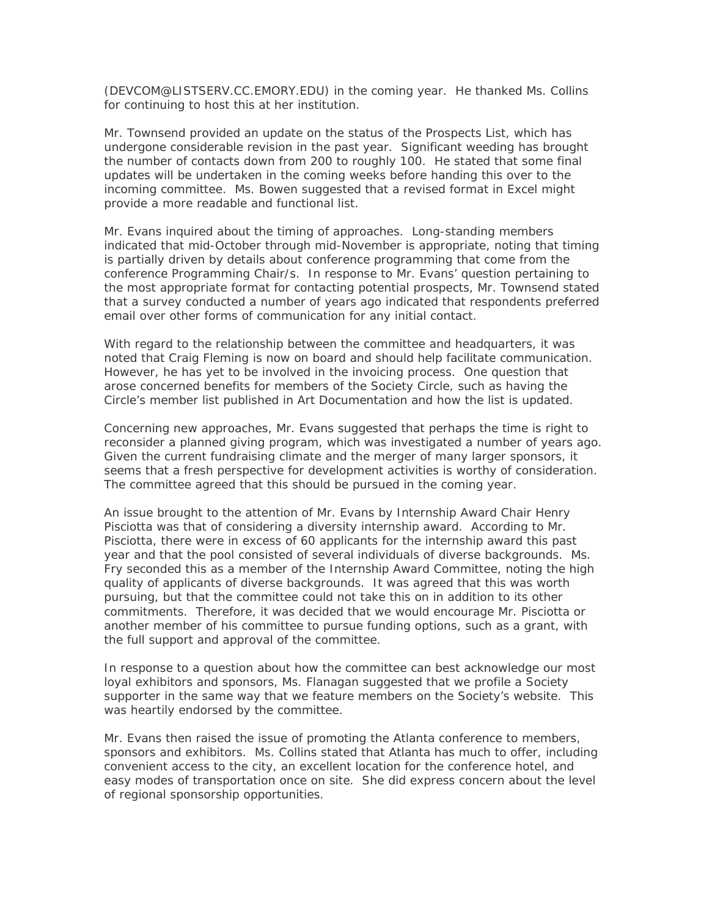(DEVCOM@LISTSERV.CC.EMORY.EDU) in the coming year. He thanked Ms. Collins for continuing to host this at her institution.

Mr. Townsend provided an update on the status of the Prospects List, which has undergone considerable revision in the past year. Significant weeding has brought the number of contacts down from 200 to roughly 100. He stated that some final updates will be undertaken in the coming weeks before handing this over to the incoming committee. Ms. Bowen suggested that a revised format in Excel might provide a more readable and functional list.

Mr. Evans inquired about the timing of approaches. Long-standing members indicated that mid-October through mid-November is appropriate, noting that timing is partially driven by details about conference programming that come from the conference Programming Chair/s. In response to Mr. Evans' question pertaining to the most appropriate format for contacting potential prospects, Mr. Townsend stated that a survey conducted a number of years ago indicated that respondents preferred email over other forms of communication for any initial contact.

With regard to the relationship between the committee and headquarters, it was noted that Craig Fleming is now on board and should help facilitate communication. However, he has yet to be involved in the invoicing process. One question that arose concerned benefits for members of the Society Circle, such as having the Circle's member list published in *Art Documentation* and how the list is updated.

Concerning new approaches, Mr. Evans suggested that perhaps the time is right to reconsider a planned giving program, which was investigated a number of years ago. Given the current fundraising climate and the merger of many larger sponsors, it seems that a fresh perspective for development activities is worthy of consideration. The committee agreed that this should be pursued in the coming year.

An issue brought to the attention of Mr. Evans by Internship Award Chair Henry Pisciotta was that of considering a diversity internship award. According to Mr. Pisciotta, there were in excess of 60 applicants for the internship award this past year and that the pool consisted of several individuals of diverse backgrounds. Ms. Fry seconded this as a member of the Internship Award Committee, noting the high quality of applicants of diverse backgrounds. It was agreed that this was worth pursuing, but that the committee could not take this on in addition to its other commitments. Therefore, it was decided that we would encourage Mr. Pisciotta or another member of his committee to pursue funding options, such as a grant, with the full support and approval of the committee.

In response to a question about how the committee can best acknowledge our most loyal exhibitors and sponsors, Ms. Flanagan suggested that we profile a Society supporter in the same way that we feature members on the Society's website. This was heartily endorsed by the committee.

Mr. Evans then raised the issue of promoting the Atlanta conference to members, sponsors and exhibitors. Ms. Collins stated that Atlanta has much to offer, including convenient access to the city, an excellent location for the conference hotel, and easy modes of transportation once on site. She did express concern about the level of regional sponsorship opportunities.